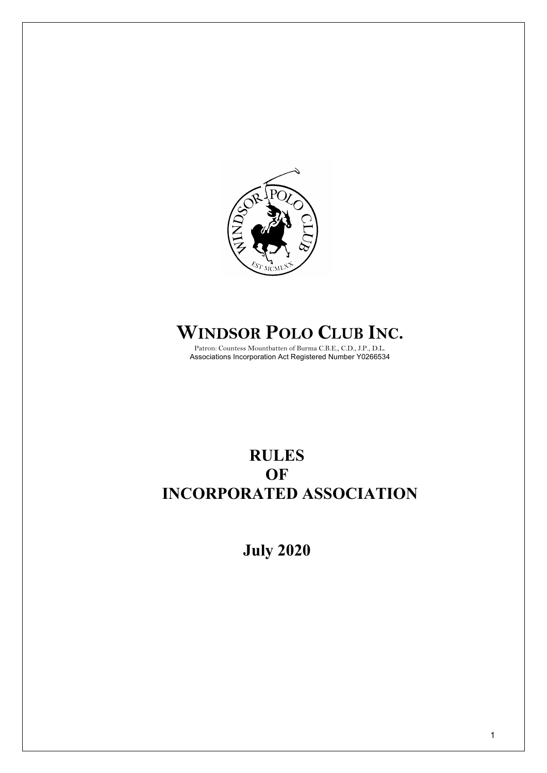

# **WINDSOR POLO CLUB INC.**

Patron: Countess Mountbatten of Burma C.B.E., C.D., J.P., D.L. Associations Incorporation Act Registered Number Y0266534

## **RULES OF INCORPORATED ASSOCIATION**

**July 2020**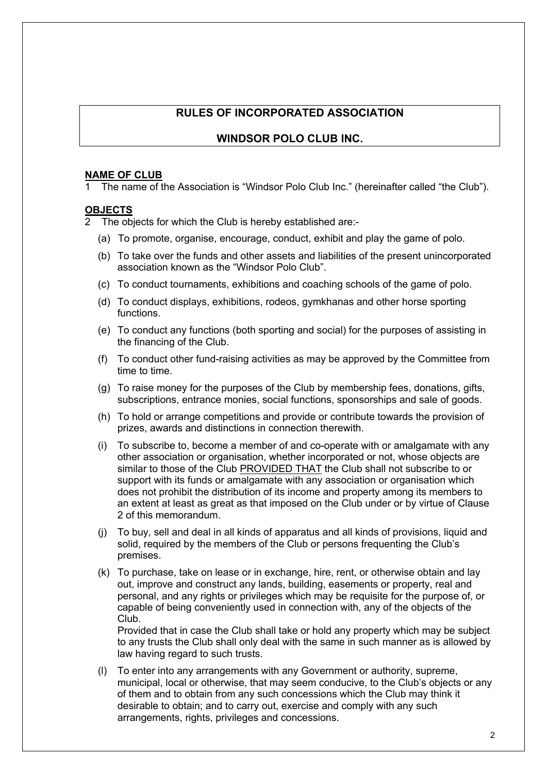## **RULES OF INCORPORATED ASSOCIATION**

## **WINDSOR POLO CLUB INC.**

#### **NAME OF CLUB**

The name of the Association is "Windsor Polo Club Inc." (hereinafter called "the Club").

#### **OBJECTS**

2 The objects for which the Club is hereby established are:-

- (a) To promote, organise, encourage, conduct, exhibit and play the game of polo.
- (b) To take over the funds and other assets and liabilities of the present unincorporated association known as the "Windsor Polo Club".
- (c) To conduct tournaments, exhibitions and coaching schools of the game of polo.
- (d) To conduct displays, exhibitions, rodeos, gymkhanas and other horse sporting functions.
- (e) To conduct any functions (both sporting and social) for the purposes of assisting in the financing of the Club.
- (f) To conduct other fund-raising activities as may be approved by the Committee from time to time.
- (g) To raise money for the purposes of the Club by membership fees, donations, gifts, subscriptions, entrance monies, social functions, sponsorships and sale of goods.
- (h) To hold or arrange competitions and provide or contribute towards the provision of prizes, awards and distinctions in connection therewith.
- (i) To subscribe to, become a member of and co-operate with or amalgamate with any other association or organisation, whether incorporated or not, whose objects are similar to those of the Club PROVIDED THAT the Club shall not subscribe to or support with its funds or amalgamate with any association or organisation which does not prohibit the distribution of its income and property among its members to an extent at least as great as that imposed on the Club under or by virtue of Clause 2 of this memorandum.
- (j) To buy, sell and deal in all kinds of apparatus and all kinds of provisions, liquid and solid, required by the members of the Club or persons frequenting the Club's premises.
- (k) To purchase, take on lease or in exchange, hire, rent, or otherwise obtain and lay out, improve and construct any lands, building, easements or property, real and personal, and any rights or privileges which may be requisite for the purpose of, or capable of being conveniently used in connection with, any of the objects of the Club.

Provided that in case the Club shall take or hold any property which may be subject to any trusts the Club shall only deal with the same in such manner as is allowed by law having regard to such trusts.

(l) To enter into any arrangements with any Government or authority, supreme, municipal, local or otherwise, that may seem conducive, to the Club's objects or any of them and to obtain from any such concessions which the Club may think it desirable to obtain; and to carry out, exercise and comply with any such arrangements, rights, privileges and concessions.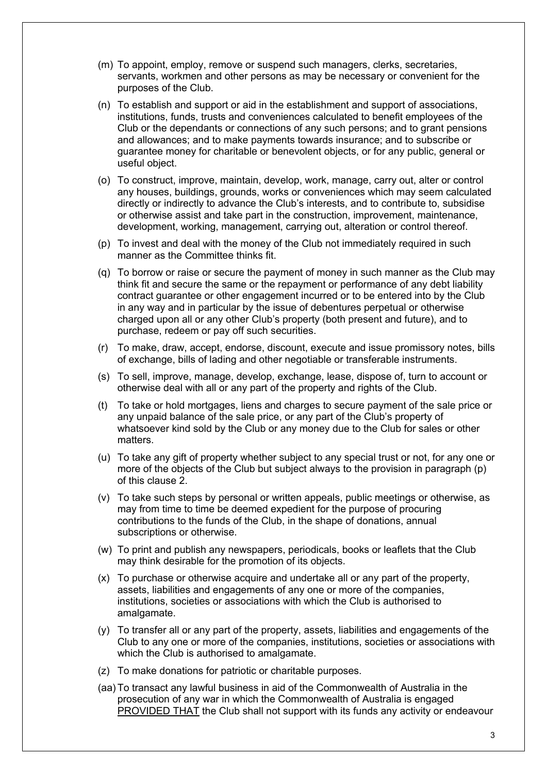- (m) To appoint, employ, remove or suspend such managers, clerks, secretaries, servants, workmen and other persons as may be necessary or convenient for the purposes of the Club.
- (n) To establish and support or aid in the establishment and support of associations, institutions, funds, trusts and conveniences calculated to benefit employees of the Club or the dependants or connections of any such persons; and to grant pensions and allowances; and to make payments towards insurance; and to subscribe or guarantee money for charitable or benevolent objects, or for any public, general or useful object.
- (o) To construct, improve, maintain, develop, work, manage, carry out, alter or control any houses, buildings, grounds, works or conveniences which may seem calculated directly or indirectly to advance the Club's interests, and to contribute to, subsidise or otherwise assist and take part in the construction, improvement, maintenance, development, working, management, carrying out, alteration or control thereof.
- (p) To invest and deal with the money of the Club not immediately required in such manner as the Committee thinks fit.
- (q) To borrow or raise or secure the payment of money in such manner as the Club may think fit and secure the same or the repayment or performance of any debt liability contract guarantee or other engagement incurred or to be entered into by the Club in any way and in particular by the issue of debentures perpetual or otherwise charged upon all or any other Club's property (both present and future), and to purchase, redeem or pay off such securities.
- (r) To make, draw, accept, endorse, discount, execute and issue promissory notes, bills of exchange, bills of lading and other negotiable or transferable instruments.
- (s) To sell, improve, manage, develop, exchange, lease, dispose of, turn to account or otherwise deal with all or any part of the property and rights of the Club.
- (t) To take or hold mortgages, liens and charges to secure payment of the sale price or any unpaid balance of the sale price, or any part of the Club's property of whatsoever kind sold by the Club or any money due to the Club for sales or other matters.
- (u) To take any gift of property whether subject to any special trust or not, for any one or more of the objects of the Club but subject always to the provision in paragraph (p) of this clause 2.
- (v) To take such steps by personal or written appeals, public meetings or otherwise, as may from time to time be deemed expedient for the purpose of procuring contributions to the funds of the Club, in the shape of donations, annual subscriptions or otherwise.
- (w) To print and publish any newspapers, periodicals, books or leaflets that the Club may think desirable for the promotion of its objects.
- (x) To purchase or otherwise acquire and undertake all or any part of the property, assets, liabilities and engagements of any one or more of the companies, institutions, societies or associations with which the Club is authorised to amalgamate.
- (y) To transfer all or any part of the property, assets, liabilities and engagements of the Club to any one or more of the companies, institutions, societies or associations with which the Club is authorised to amalgamate.
- (z) To make donations for patriotic or charitable purposes.
- (aa)To transact any lawful business in aid of the Commonwealth of Australia in the prosecution of any war in which the Commonwealth of Australia is engaged PROVIDED THAT the Club shall not support with its funds any activity or endeavour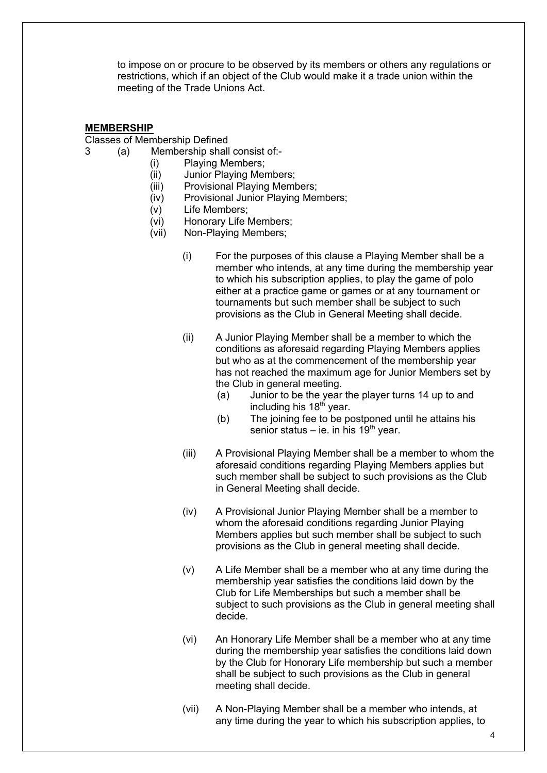to impose on or procure to be observed by its members or others any regulations or restrictions, which if an object of the Club would make it a trade union within the meeting of the Trade Unions Act.

#### **MEMBERSHIP**

Classes of Membership Defined

- 3 (a) Membership shall consist of:-
	- (i) Playing Members;
	- (ii) Junior Playing Members;
	- (iii) Provisional Playing Members;
	- (iv) Provisional Junior Playing Members;
	- (v) Life Members;
	- (vi) Honorary Life Members;
	- (vii) Non-Playing Members;
		- (i) For the purposes of this clause a Playing Member shall be a member who intends, at any time during the membership year to which his subscription applies, to play the game of polo either at a practice game or games or at any tournament or tournaments but such member shall be subject to such provisions as the Club in General Meeting shall decide.
		- (ii) A Junior Playing Member shall be a member to which the conditions as aforesaid regarding Playing Members applies but who as at the commencement of the membership year has not reached the maximum age for Junior Members set by the Club in general meeting.
			- (a) Junior to be the year the player turns 14 up to and including his 18<sup>th</sup> year.
			- (b) The joining fee to be postponed until he attains his senior status – ie. in his  $19<sup>th</sup>$  year.
		- (iii) A Provisional Playing Member shall be a member to whom the aforesaid conditions regarding Playing Members applies but such member shall be subject to such provisions as the Club in General Meeting shall decide.
		- (iv) A Provisional Junior Playing Member shall be a member to whom the aforesaid conditions regarding Junior Playing Members applies but such member shall be subject to such provisions as the Club in general meeting shall decide.
		- (v) A Life Member shall be a member who at any time during the membership year satisfies the conditions laid down by the Club for Life Memberships but such a member shall be subject to such provisions as the Club in general meeting shall decide.
		- (vi) An Honorary Life Member shall be a member who at any time during the membership year satisfies the conditions laid down by the Club for Honorary Life membership but such a member shall be subject to such provisions as the Club in general meeting shall decide.
		- (vii) A Non-Playing Member shall be a member who intends, at any time during the year to which his subscription applies, to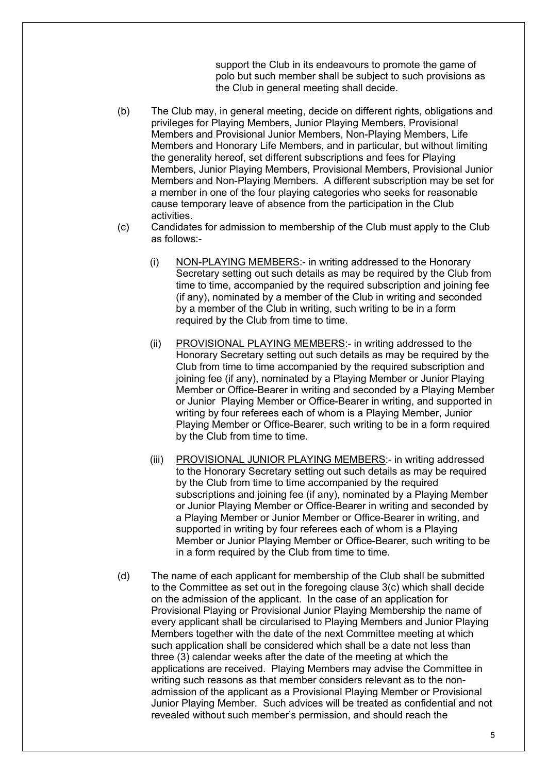support the Club in its endeavours to promote the game of polo but such member shall be subject to such provisions as the Club in general meeting shall decide.

- (b) The Club may, in general meeting, decide on different rights, obligations and privileges for Playing Members, Junior Playing Members, Provisional Members and Provisional Junior Members, Non-Playing Members, Life Members and Honorary Life Members, and in particular, but without limiting the generality hereof, set different subscriptions and fees for Playing Members, Junior Playing Members, Provisional Members, Provisional Junior Members and Non-Playing Members. A different subscription may be set for a member in one of the four playing categories who seeks for reasonable cause temporary leave of absence from the participation in the Club activities.
- (c) Candidates for admission to membership of the Club must apply to the Club as follows:-
	- (i) NON-PLAYING MEMBERS:- in writing addressed to the Honorary Secretary setting out such details as may be required by the Club from time to time, accompanied by the required subscription and joining fee (if any), nominated by a member of the Club in writing and seconded by a member of the Club in writing, such writing to be in a form required by the Club from time to time.
	- (ii) PROVISIONAL PLAYING MEMBERS:- in writing addressed to the Honorary Secretary setting out such details as may be required by the Club from time to time accompanied by the required subscription and joining fee (if any), nominated by a Playing Member or Junior Playing Member or Office-Bearer in writing and seconded by a Playing Member or Junior Playing Member or Office-Bearer in writing, and supported in writing by four referees each of whom is a Playing Member, Junior Playing Member or Office-Bearer, such writing to be in a form required by the Club from time to time.
	- (iii) PROVISIONAL JUNIOR PLAYING MEMBERS:- in writing addressed to the Honorary Secretary setting out such details as may be required by the Club from time to time accompanied by the required subscriptions and joining fee (if any), nominated by a Playing Member or Junior Playing Member or Office-Bearer in writing and seconded by a Playing Member or Junior Member or Office-Bearer in writing, and supported in writing by four referees each of whom is a Playing Member or Junior Playing Member or Office-Bearer, such writing to be in a form required by the Club from time to time.
- (d) The name of each applicant for membership of the Club shall be submitted to the Committee as set out in the foregoing clause 3(c) which shall decide on the admission of the applicant. In the case of an application for Provisional Playing or Provisional Junior Playing Membership the name of every applicant shall be circularised to Playing Members and Junior Playing Members together with the date of the next Committee meeting at which such application shall be considered which shall be a date not less than three (3) calendar weeks after the date of the meeting at which the applications are received. Playing Members may advise the Committee in writing such reasons as that member considers relevant as to the nonadmission of the applicant as a Provisional Playing Member or Provisional Junior Playing Member. Such advices will be treated as confidential and not revealed without such member's permission, and should reach the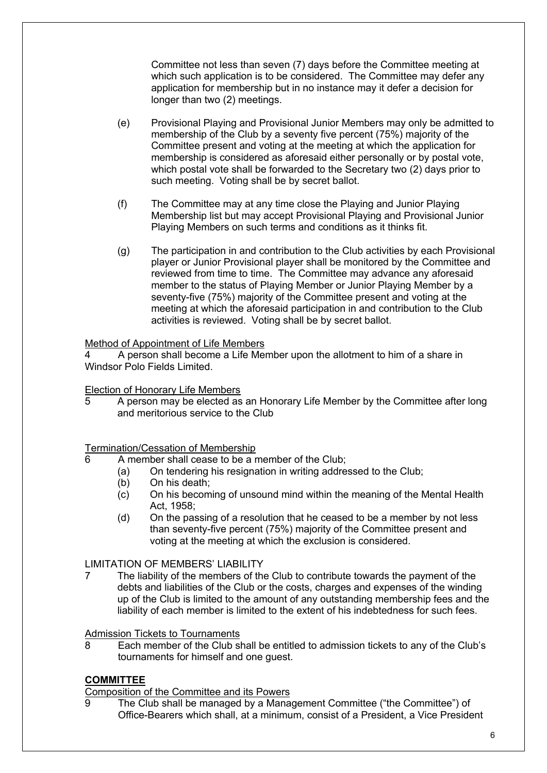Committee not less than seven (7) days before the Committee meeting at which such application is to be considered. The Committee may defer any application for membership but in no instance may it defer a decision for longer than two (2) meetings.

- (e) Provisional Playing and Provisional Junior Members may only be admitted to membership of the Club by a seventy five percent (75%) majority of the Committee present and voting at the meeting at which the application for membership is considered as aforesaid either personally or by postal vote, which postal vote shall be forwarded to the Secretary two (2) days prior to such meeting. Voting shall be by secret ballot.
- (f) The Committee may at any time close the Playing and Junior Playing Membership list but may accept Provisional Playing and Provisional Junior Playing Members on such terms and conditions as it thinks fit.
- (g) The participation in and contribution to the Club activities by each Provisional player or Junior Provisional player shall be monitored by the Committee and reviewed from time to time. The Committee may advance any aforesaid member to the status of Playing Member or Junior Playing Member by a seventy-five (75%) majority of the Committee present and voting at the meeting at which the aforesaid participation in and contribution to the Club activities is reviewed. Voting shall be by secret ballot.

#### Method of Appointment of Life Members

4 A person shall become a Life Member upon the allotment to him of a share in Windsor Polo Fields Limited

## Election of Honorary Life Members

5 A person may be elected as an Honorary Life Member by the Committee after long and meritorious service to the Club

#### Termination/Cessation of Membership

- 6 A member shall cease to be a member of the Club;
	- (a) On tendering his resignation in writing addressed to the Club;
	- (b) On his death;
	- (c) On his becoming of unsound mind within the meaning of the Mental Health Act, 1958;
	- (d) On the passing of a resolution that he ceased to be a member by not less than seventy-five percent (75%) majority of the Committee present and voting at the meeting at which the exclusion is considered.

#### LIMITATION OF MEMBERS' LIABILITY

7 The liability of the members of the Club to contribute towards the payment of the debts and liabilities of the Club or the costs, charges and expenses of the winding up of the Club is limited to the amount of any outstanding membership fees and the liability of each member is limited to the extent of his indebtedness for such fees.

## Admission Tickets to Tournaments

8 Each member of the Club shall be entitled to admission tickets to any of the Club's tournaments for himself and one guest.

## **COMMITTEE**

Composition of the Committee and its Powers

9 The Club shall be managed by a Management Committee ("the Committee") of Office-Bearers which shall, at a minimum, consist of a President, a Vice President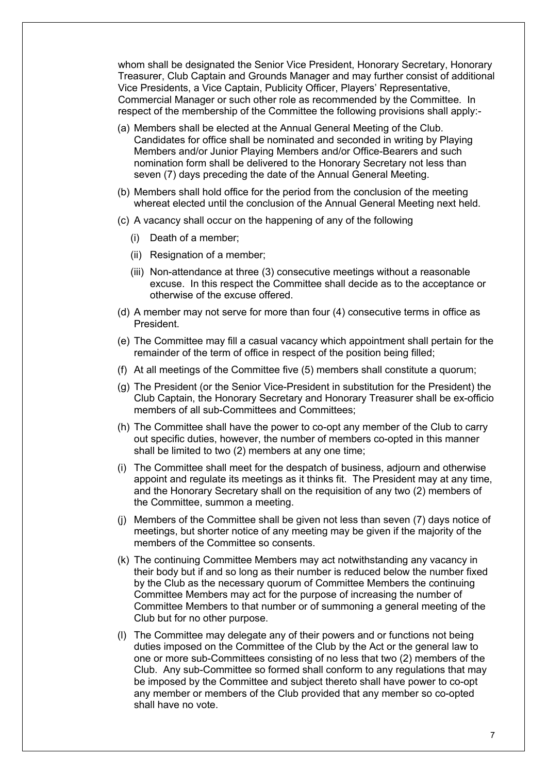whom shall be designated the Senior Vice President, Honorary Secretary, Honorary Treasurer, Club Captain and Grounds Manager and may further consist of additional Vice Presidents, a Vice Captain, Publicity Officer, Players' Representative, Commercial Manager or such other role as recommended by the Committee. In respect of the membership of the Committee the following provisions shall apply:-

- (a) Members shall be elected at the Annual General Meeting of the Club. Candidates for office shall be nominated and seconded in writing by Playing Members and/or Junior Playing Members and/or Office-Bearers and such nomination form shall be delivered to the Honorary Secretary not less than seven (7) days preceding the date of the Annual General Meeting.
- (b) Members shall hold office for the period from the conclusion of the meeting whereat elected until the conclusion of the Annual General Meeting next held.
- (c) A vacancy shall occur on the happening of any of the following
	- (i) Death of a member;
	- (ii) Resignation of a member;
	- (iii) Non-attendance at three (3) consecutive meetings without a reasonable excuse. In this respect the Committee shall decide as to the acceptance or otherwise of the excuse offered.
- (d) A member may not serve for more than four (4) consecutive terms in office as President.
- (e) The Committee may fill a casual vacancy which appointment shall pertain for the remainder of the term of office in respect of the position being filled;
- (f) At all meetings of the Committee five (5) members shall constitute a quorum;
- (g) The President (or the Senior Vice-President in substitution for the President) the Club Captain, the Honorary Secretary and Honorary Treasurer shall be ex-officio members of all sub-Committees and Committees;
- (h) The Committee shall have the power to co-opt any member of the Club to carry out specific duties, however, the number of members co-opted in this manner shall be limited to two (2) members at any one time;
- (i) The Committee shall meet for the despatch of business, adjourn and otherwise appoint and regulate its meetings as it thinks fit. The President may at any time, and the Honorary Secretary shall on the requisition of any two (2) members of the Committee, summon a meeting.
- (j) Members of the Committee shall be given not less than seven (7) days notice of meetings, but shorter notice of any meeting may be given if the majority of the members of the Committee so consents.
- (k) The continuing Committee Members may act notwithstanding any vacancy in their body but if and so long as their number is reduced below the number fixed by the Club as the necessary quorum of Committee Members the continuing Committee Members may act for the purpose of increasing the number of Committee Members to that number or of summoning a general meeting of the Club but for no other purpose.
- (l) The Committee may delegate any of their powers and or functions not being duties imposed on the Committee of the Club by the Act or the general law to one or more sub-Committees consisting of no less that two (2) members of the Club. Any sub-Committee so formed shall conform to any regulations that may be imposed by the Committee and subject thereto shall have power to co-opt any member or members of the Club provided that any member so co-opted shall have no vote.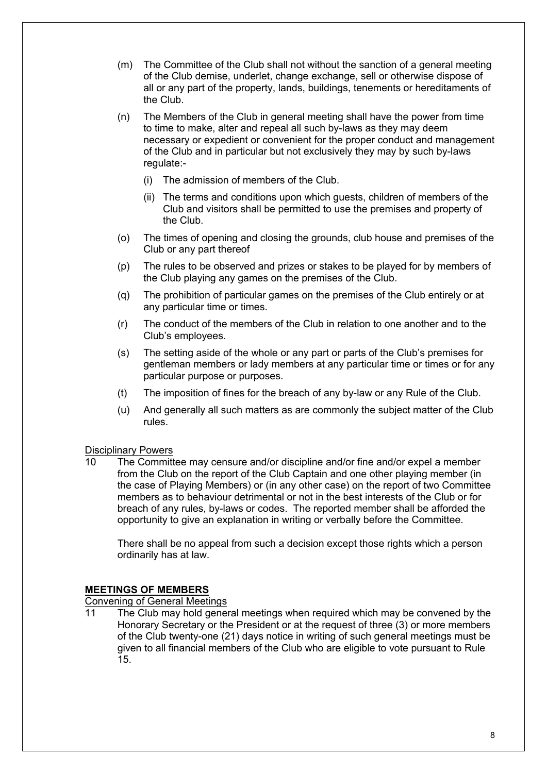- (m) The Committee of the Club shall not without the sanction of a general meeting of the Club demise, underlet, change exchange, sell or otherwise dispose of all or any part of the property, lands, buildings, tenements or hereditaments of the Club.
- (n) The Members of the Club in general meeting shall have the power from time to time to make, alter and repeal all such by-laws as they may deem necessary or expedient or convenient for the proper conduct and management of the Club and in particular but not exclusively they may by such by-laws regulate:-
	- (i) The admission of members of the Club.
	- (ii) The terms and conditions upon which guests, children of members of the Club and visitors shall be permitted to use the premises and property of the Club.
- (o) The times of opening and closing the grounds, club house and premises of the Club or any part thereof
- (p) The rules to be observed and prizes or stakes to be played for by members of the Club playing any games on the premises of the Club.
- (q) The prohibition of particular games on the premises of the Club entirely or at any particular time or times.
- (r) The conduct of the members of the Club in relation to one another and to the Club's employees.
- (s) The setting aside of the whole or any part or parts of the Club's premises for gentleman members or lady members at any particular time or times or for any particular purpose or purposes.
- (t) The imposition of fines for the breach of any by-law or any Rule of the Club.
- (u) And generally all such matters as are commonly the subject matter of the Club rules.

#### Disciplinary Powers

10 The Committee may censure and/or discipline and/or fine and/or expel a member from the Club on the report of the Club Captain and one other playing member (in the case of Playing Members) or (in any other case) on the report of two Committee members as to behaviour detrimental or not in the best interests of the Club or for breach of any rules, by-laws or codes. The reported member shall be afforded the opportunity to give an explanation in writing or verbally before the Committee.

There shall be no appeal from such a decision except those rights which a person ordinarily has at law.

#### **MEETINGS OF MEMBERS**

Convening of General Meetings

11 The Club may hold general meetings when required which may be convened by the Honorary Secretary or the President or at the request of three (3) or more members of the Club twenty-one (21) days notice in writing of such general meetings must be given to all financial members of the Club who are eligible to vote pursuant to Rule 15.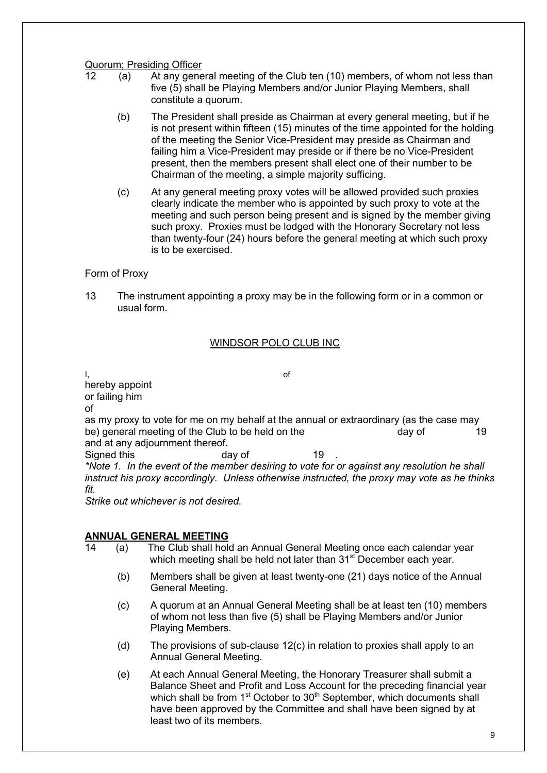## **Quorum; Presiding Officer**<br>12 (a) At any gene

- (a) At any general meeting of the Club ten (10) members, of whom not less than five (5) shall be Playing Members and/or Junior Playing Members, shall constitute a quorum.
	- (b) The President shall preside as Chairman at every general meeting, but if he is not present within fifteen (15) minutes of the time appointed for the holding of the meeting the Senior Vice-President may preside as Chairman and failing him a Vice-President may preside or if there be no Vice-President present, then the members present shall elect one of their number to be Chairman of the meeting, a simple majority sufficing.
	- (c) At any general meeting proxy votes will be allowed provided such proxies clearly indicate the member who is appointed by such proxy to vote at the meeting and such person being present and is signed by the member giving such proxy. Proxies must be lodged with the Honorary Secretary not less than twenty-four (24) hours before the general meeting at which such proxy is to be exercised.

## Form of Proxy

13 The instrument appointing a proxy may be in the following form or in a common or usual form.

#### WINDSOR POLO CLUB INC

I, and the contract of the contract of the contract of  $\alpha$ 

hereby appoint or failing him of as my proxy to vote for me on my behalf at the annual or extraordinary (as the case may be) general meeting of the Club to be held on the day of the day of 19 and at any adjournment thereof. Signed this day of 19 *\*Note 1. In the event of the member desiring to vote for or against any resolution he shall instruct his proxy accordingly. Unless otherwise instructed, the proxy may vote as he thinks fit.*

*Strike out whichever is not desired.*

#### **ANNUAL GENERAL MEETING**

- 14 (a) The Club shall hold an Annual General Meeting once each calendar year which meeting shall be held not later than 31<sup>st</sup> December each year.
	- (b) Members shall be given at least twenty-one (21) days notice of the Annual General Meeting.
	- (c) A quorum at an Annual General Meeting shall be at least ten (10) members of whom not less than five (5) shall be Playing Members and/or Junior Playing Members.
	- (d) The provisions of sub-clause 12(c) in relation to proxies shall apply to an Annual General Meeting.
	- (e) At each Annual General Meeting, the Honorary Treasurer shall submit a Balance Sheet and Profit and Loss Account for the preceding financial year which shall be from 1<sup>st</sup> October to 30<sup>th</sup> September, which documents shall have been approved by the Committee and shall have been signed by at least two of its members.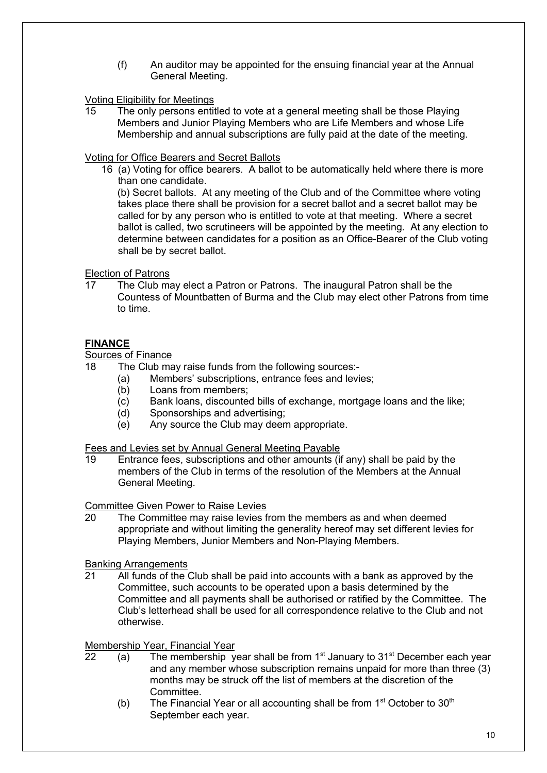(f) An auditor may be appointed for the ensuing financial year at the Annual General Meeting.

#### Voting Eligibility for Meetings

15 The only persons entitled to vote at a general meeting shall be those Playing Members and Junior Playing Members who are Life Members and whose Life Membership and annual subscriptions are fully paid at the date of the meeting.

#### Voting for Office Bearers and Secret Ballots

16 (a) Voting for office bearers. A ballot to be automatically held where there is more than one candidate.

(b) Secret ballots. At any meeting of the Club and of the Committee where voting takes place there shall be provision for a secret ballot and a secret ballot may be called for by any person who is entitled to vote at that meeting. Where a secret ballot is called, two scrutineers will be appointed by the meeting. At any election to determine between candidates for a position as an Office-Bearer of the Club voting shall be by secret ballot.

#### Election of Patrons

17 The Club may elect a Patron or Patrons. The inaugural Patron shall be the Countess of Mountbatten of Burma and the Club may elect other Patrons from time to time.

## **FINANCE**

#### Sources of Finance

18 The Club may raise funds from the following sources:-

- (a) Members' subscriptions, entrance fees and levies;
- (b) Loans from members;
- (c) Bank loans, discounted bills of exchange, mortgage loans and the like;
- (d) Sponsorships and advertising;
- (e) Any source the Club may deem appropriate.

Fees and Levies set by Annual General Meeting Payable

19 Entrance fees, subscriptions and other amounts (if any) shall be paid by the members of the Club in terms of the resolution of the Members at the Annual General Meeting.

Committee Given Power to Raise Levies

20 The Committee may raise levies from the members as and when deemed appropriate and without limiting the generality hereof may set different levies for Playing Members, Junior Members and Non-Playing Members.

#### Banking Arrangements

21 All funds of the Club shall be paid into accounts with a bank as approved by the Committee, such accounts to be operated upon a basis determined by the Committee and all payments shall be authorised or ratified by the Committee. The Club's letterhead shall be used for all correspondence relative to the Club and not otherwise.

Membership Year, Financial Year

- $\overline{22}$  (a) The membership year shall be from 1<sup>st</sup> January to 31<sup>st</sup> December each year and any member whose subscription remains unpaid for more than three (3) months may be struck off the list of members at the discretion of the Committee.
	- (b) The Financial Year or all accounting shall be from  $1<sup>st</sup>$  October to  $30<sup>th</sup>$ September each year.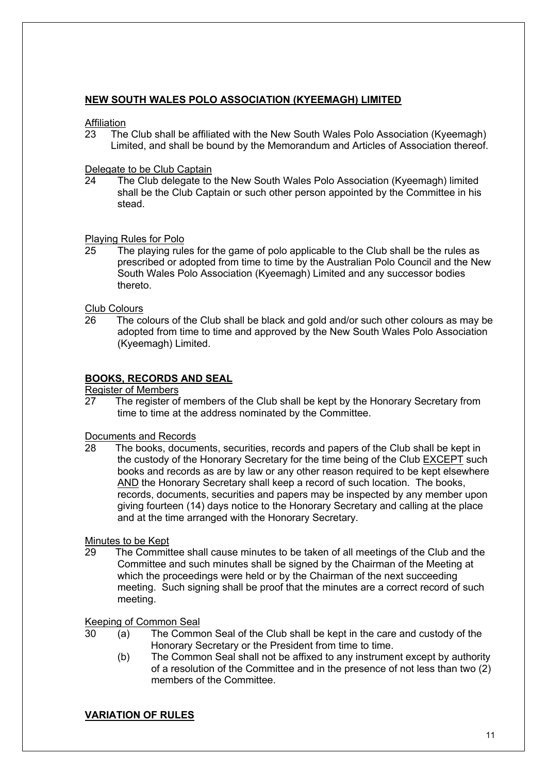## **NEW SOUTH WALES POLO ASSOCIATION (KYEEMAGH) LIMITED**

#### Affiliation

23 The Club shall be affiliated with the New South Wales Polo Association (Kyeemagh) Limited, and shall be bound by the Memorandum and Articles of Association thereof.

### Delegate to be Club Captain

24 The Club delegate to the New South Wales Polo Association (Kyeemagh) limited shall be the Club Captain or such other person appointed by the Committee in his stead.

## Playing Rules for Polo

25 The playing rules for the game of polo applicable to the Club shall be the rules as prescribed or adopted from time to time by the Australian Polo Council and the New South Wales Polo Association (Kyeemagh) Limited and any successor bodies thereto.

#### Club Colours

26 The colours of the Club shall be black and gold and/or such other colours as may be adopted from time to time and approved by the New South Wales Polo Association (Kyeemagh) Limited.

## **BOOKS, RECORDS AND SEAL**

Register of Members

27 The register of members of the Club shall be kept by the Honorary Secretary from time to time at the address nominated by the Committee.

#### Documents and Records

28 The books, documents, securities, records and papers of the Club shall be kept in the custody of the Honorary Secretary for the time being of the Club EXCEPT such books and records as are by law or any other reason required to be kept elsewhere AND the Honorary Secretary shall keep a record of such location. The books, records, documents, securities and papers may be inspected by any member upon giving fourteen (14) days notice to the Honorary Secretary and calling at the place and at the time arranged with the Honorary Secretary.

#### Minutes to be Kept

29 The Committee shall cause minutes to be taken of all meetings of the Club and the Committee and such minutes shall be signed by the Chairman of the Meeting at which the proceedings were held or by the Chairman of the next succeeding meeting. Such signing shall be proof that the minutes are a correct record of such meeting.

#### Keeping of Common Seal

- 30 (a) The Common Seal of the Club shall be kept in the care and custody of the Honorary Secretary or the President from time to time.
	- (b) The Common Seal shall not be affixed to any instrument except by authority of a resolution of the Committee and in the presence of not less than two (2) members of the Committee.

## **VARIATION OF RULES**